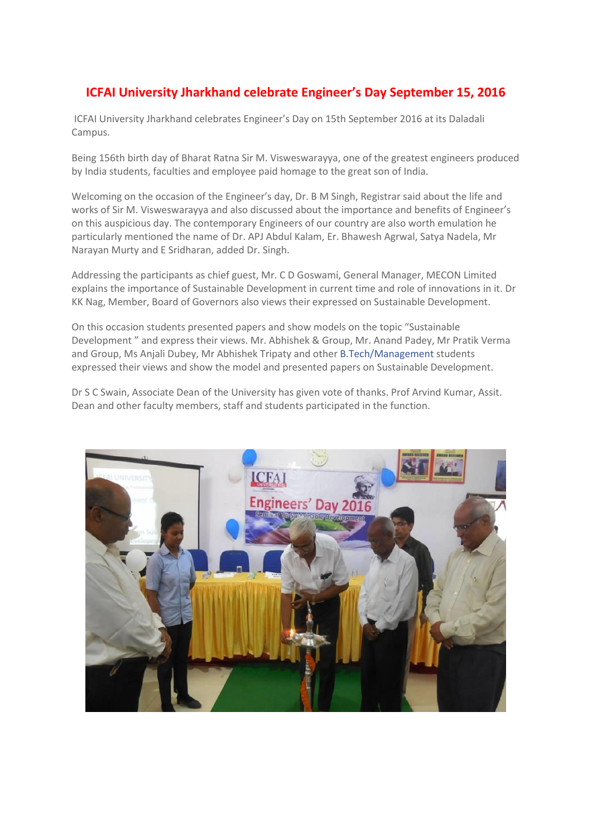## **ICFAI University Jharkhand celebrate Engineer's Day September 15, 2016**

ICFAI University Jharkhand celebrates Engineer's Day on 15th September 2016 at its Daladali Campus.

Being 156th birth day of Bharat Ratna Sir M. Visweswarayya, one of the greatest engineers produced by India students, faculties and employee paid homage to the great son of India.

Welcoming on the occasion of the Engineer's day, Dr. B M Singh, Registrar said about the life and works of Sir M. Visweswarayya and also discussed about the importance and benefits of Engineer's on this auspicious day. The contemporary Engineers of our country are also worth emulation he particularly mentioned the name of Dr. APJ Abdul Kalam, Er. Bhawesh Agrwal, Satya Nadela, Mr Narayan Murty and E Sridharan, added Dr. Singh.

Addressing the participants as chief guest, Mr. C D Goswami, General Manager, MECON Limited explains the importance of Sustainable Development in current time and role of innovations in it. Dr KK Nag, Member, Board of Governors also views their expressed on Sustainable Development.

On this occasion students presented papers and show models on the topic "Sustainable Development " and express their views. Mr. Abhishek & Group, Mr. Anand Padey, Mr Pratik Verma and Group, Ms Anjali Dubey, Mr Abhishek Tripaty and other [B.Tech/Management](http://b.tech/Management) students expressed their views and show the model and presented papers on Sustainable Development.

Dr S C Swain, Associate Dean of the University has given vote of thanks. Prof Arvind Kumar, Assit. Dean and other faculty members, staff and students participated in the function.

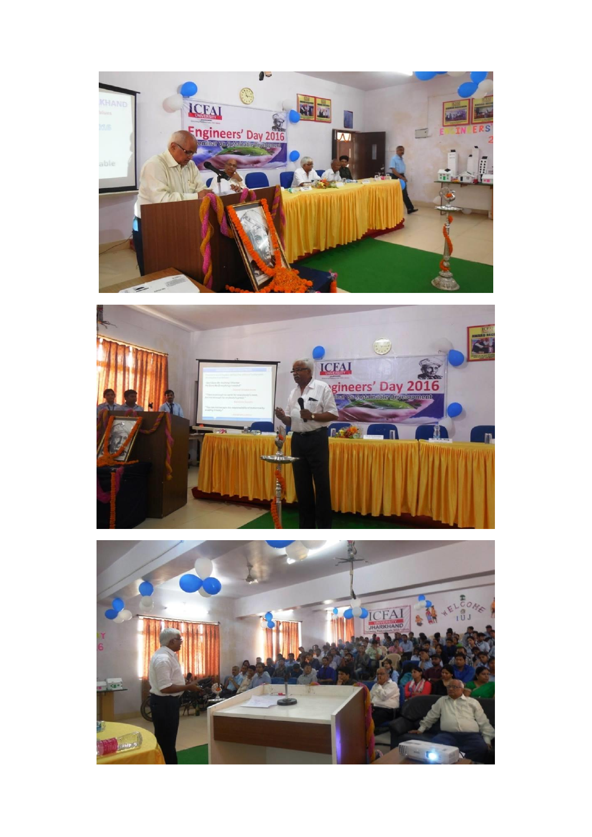



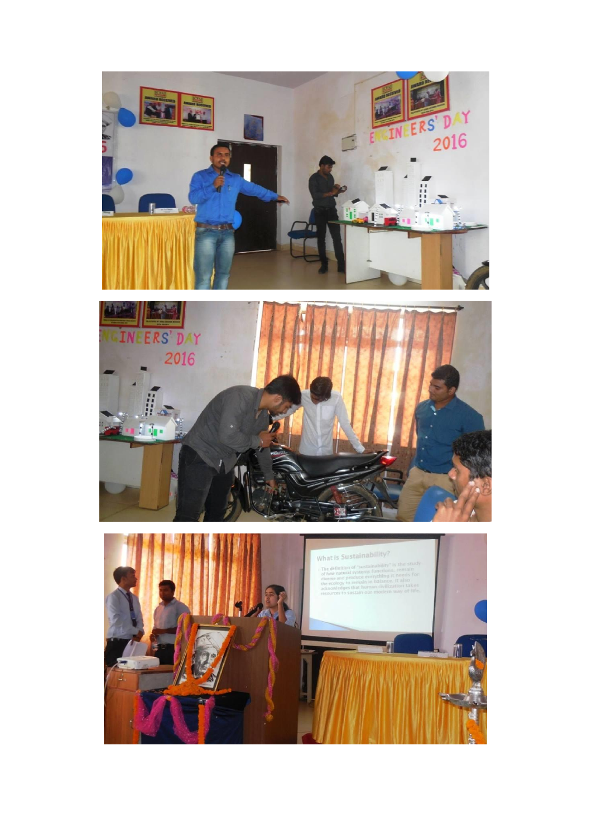